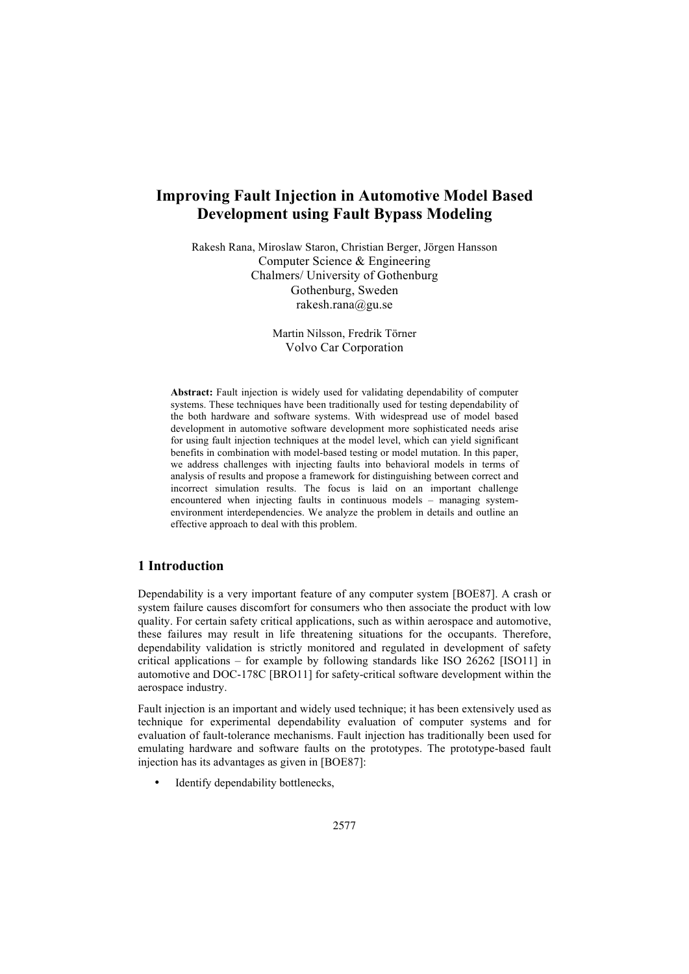# **Improving Fault Injection in Automotive Model Based Development using Fault Bypass Modeling**

Rakesh Rana, Miroslaw Staron, Christian Berger, Jörgen Hansson Computer Science & Engineering Chalmers/ University of Gothenburg Gothenburg, Sweden rakesh.rana@gu.se

> Martin Nilsson, Fredrik Törner Volvo Car Corporation

**Abstract:** Fault injection is widely used for validating dependability of computer systems. These techniques have been traditionally used for testing dependability of the both hardware and software systems. With widespread use of model based development in automotive software development more sophisticated needs arise for using fault injection techniques at the model level, which can yield significant benefits in combination with model-based testing or model mutation. In this paper, we address challenges with injecting faults into behavioral models in terms of analysis of results and propose a framework for distinguishing between correct and incorrect simulation results. The focus is laid on an important challenge encountered when injecting faults in continuous models – managing systemenvironment interdependencies. We analyze the problem in details and outline an effective approach to deal with this problem.

# **1 Introduction**

Dependability is a very important feature of any computer system [BOE87]. A crash or system failure causes discomfort for consumers who then associate the product with low quality. For certain safety critical applications, such as within aerospace and automotive, these failures may result in life threatening situations for the occupants. Therefore, dependability validation is strictly monitored and regulated in development of safety critical applications – for example by following standards like ISO 26262 [ISO11] in automotive and DOC-178C [BRO11] for safety-critical software development within the aerospace industry.

Fault injection is an important and widely used technique; it has been extensively used as technique for experimental dependability evaluation of computer systems and for evaluation of fault-tolerance mechanisms. Fault injection has traditionally been used for emulating hardware and software faults on the prototypes. The prototype-based fault injection has its advantages as given in [BOE87]:

Identify dependability bottlenecks,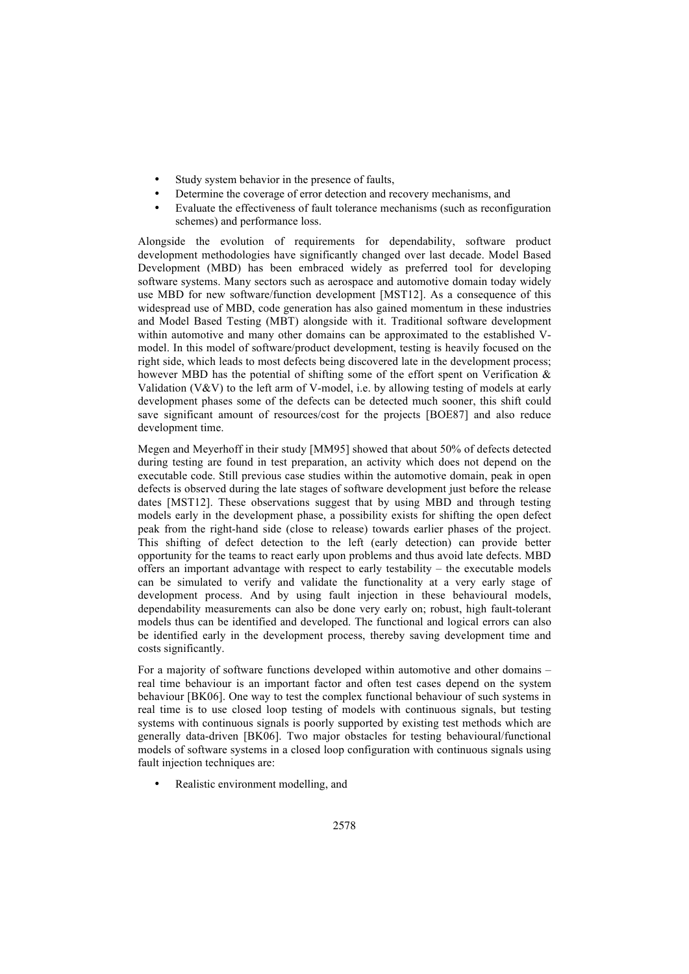- Study system behavior in the presence of faults,
- Determine the coverage of error detection and recovery mechanisms, and
- Evaluate the effectiveness of fault tolerance mechanisms (such as reconfiguration schemes) and performance loss.

Alongside the evolution of requirements for dependability, software product development methodologies have significantly changed over last decade. Model Based Development (MBD) has been embraced widely as preferred tool for developing software systems. Many sectors such as aerospace and automotive domain today widely use MBD for new software/function development [MST12]. As a consequence of this widespread use of MBD, code generation has also gained momentum in these industries and Model Based Testing (MBT) alongside with it. Traditional software development within automotive and many other domains can be approximated to the established Vmodel. In this model of software/product development, testing is heavily focused on the right side, which leads to most defects being discovered late in the development process; however MBD has the potential of shifting some of the effort spent on Verification  $\&$ Validation (V&V) to the left arm of V-model, i.e. by allowing testing of models at early development phases some of the defects can be detected much sooner, this shift could save significant amount of resources/cost for the projects [BOE87] and also reduce development time.

Megen and Meyerhoff in their study [MM95] showed that about 50% of defects detected during testing are found in test preparation, an activity which does not depend on the executable code. Still previous case studies within the automotive domain, peak in open defects is observed during the late stages of software development just before the release dates [MST12]. These observations suggest that by using MBD and through testing models early in the development phase, a possibility exists for shifting the open defect peak from the right-hand side (close to release) towards earlier phases of the project. This shifting of defect detection to the left (early detection) can provide better opportunity for the teams to react early upon problems and thus avoid late defects. MBD offers an important advantage with respect to early testability – the executable models can be simulated to verify and validate the functionality at a very early stage of development process. And by using fault injection in these behavioural models, dependability measurements can also be done very early on; robust, high fault-tolerant models thus can be identified and developed. The functional and logical errors can also be identified early in the development process, thereby saving development time and costs significantly.

For a majority of software functions developed within automotive and other domains – real time behaviour is an important factor and often test cases depend on the system behaviour [BK06]. One way to test the complex functional behaviour of such systems in real time is to use closed loop testing of models with continuous signals, but testing systems with continuous signals is poorly supported by existing test methods which are generally data-driven [BK06]. Two major obstacles for testing behavioural/functional models of software systems in a closed loop configuration with continuous signals using fault injection techniques are:

Realistic environment modelling, and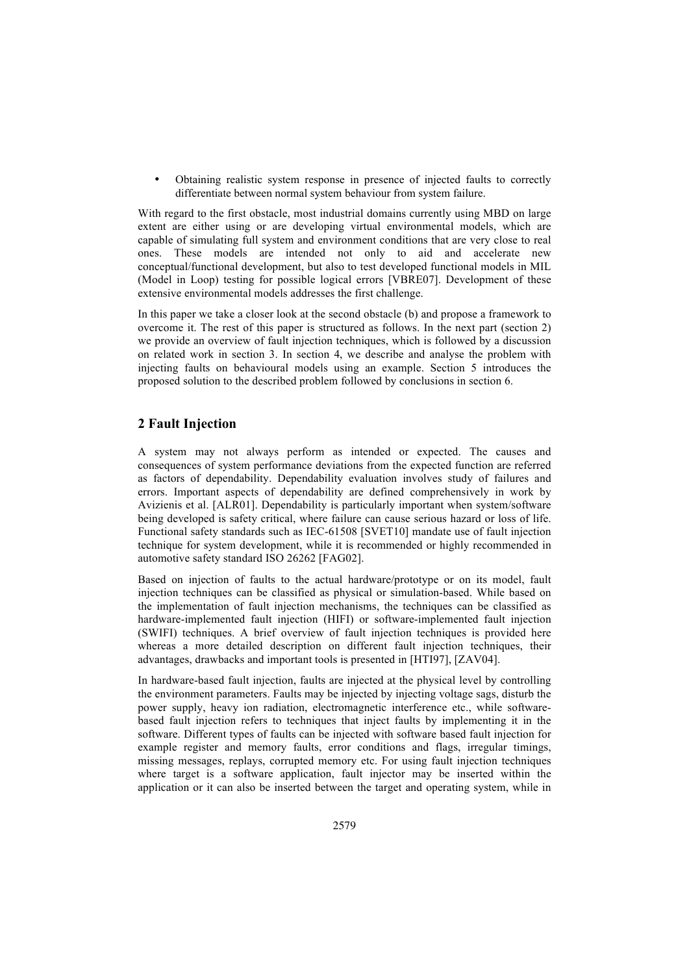• Obtaining realistic system response in presence of injected faults to correctly differentiate between normal system behaviour from system failure.

With regard to the first obstacle, most industrial domains currently using MBD on large extent are either using or are developing virtual environmental models, which are capable of simulating full system and environment conditions that are very close to real<br>ones. These models are intended not only to aid and accelerate new intended not only to conceptual/functional development, but also to test developed functional models in MIL (Model in Loop) testing for possible logical errors [VBRE07]. Development of these extensive environmental models addresses the first challenge.

In this paper we take a closer look at the second obstacle (b) and propose a framework to overcome it. The rest of this paper is structured as follows. In the next part (section 2) we provide an overview of fault injection techniques, which is followed by a discussion on related work in section 3. In section 4, we describe and analyse the problem with injecting faults on behavioural models using an example. Section 5 introduces the proposed solution to the described problem followed by conclusions in section 6.

# **2 Fault Injection**

A system may not always perform as intended or expected. The causes and consequences of system performance deviations from the expected function are referred as factors of dependability. Dependability evaluation involves study of failures and errors. Important aspects of dependability are defined comprehensively in work by Avizienis et al. [ALR01]. Dependability is particularly important when system/software being developed is safety critical, where failure can cause serious hazard or loss of life. Functional safety standards such as IEC-61508 [SVET10] mandate use of fault injection technique for system development, while it is recommended or highly recommended in automotive safety standard ISO 26262 [FAG02].

Based on injection of faults to the actual hardware/prototype or on its model, fault injection techniques can be classified as physical or simulation-based. While based on the implementation of fault injection mechanisms, the techniques can be classified as hardware-implemented fault injection (HIFI) or software-implemented fault injection (SWIFI) techniques. A brief overview of fault injection techniques is provided here whereas a more detailed description on different fault injection techniques, their advantages, drawbacks and important tools is presented in [HTI97], [ZAV04].

In hardware-based fault injection, faults are injected at the physical level by controlling the environment parameters. Faults may be injected by injecting voltage sags, disturb the power supply, heavy ion radiation, electromagnetic interference etc., while softwarebased fault injection refers to techniques that inject faults by implementing it in the software. Different types of faults can be injected with software based fault injection for example register and memory faults, error conditions and flags, irregular timings, missing messages, replays, corrupted memory etc. For using fault injection techniques where target is a software application, fault injector may be inserted within the application or it can also be inserted between the target and operating system, while in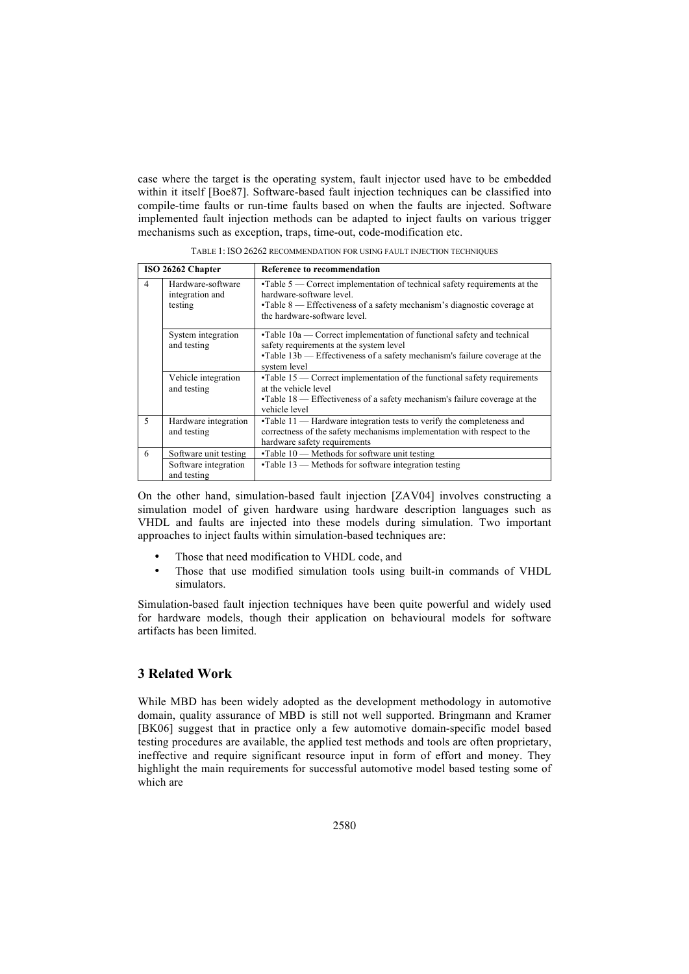case where the target is the operating system, fault injector used have to be embedded within it itself [Boe87]. Software-based fault injection techniques can be classified into compile-time faults or run-time faults based on when the faults are injected. Software implemented fault injection methods can be adapted to inject faults on various trigger mechanisms such as exception, traps, time-out, code-modification etc.

| ISO 26262 Chapter        |                                                              | <b>Reference to recommendation</b>                                                                                                                                                                                             |
|--------------------------|--------------------------------------------------------------|--------------------------------------------------------------------------------------------------------------------------------------------------------------------------------------------------------------------------------|
| $\overline{4}$           | Hardware-software<br>integration and<br>testing              | $\cdot$ Table 5 — Correct implementation of technical safety requirements at the<br>hardware-software level.<br>$\cdot$ Table 8 — Effectiveness of a safety mechanism's diagnostic coverage at<br>the hardware-software level. |
|                          | System integration<br>and testing                            | $\cdot$ Table 10a — Correct implementation of functional safety and technical<br>safety requirements at the system level<br>$\cdot$ Table 13b — Effectiveness of a safety mechanism's failure coverage at the<br>system level  |
|                          | Vehicle integration<br>and testing                           | $\cdot$ Table 15 — Correct implementation of the functional safety requirements<br>at the vehicle level<br>$\cdot$ Table 18 — Effectiveness of a safety mechanism's failure coverage at the<br>vehicle level                   |
| $\overline{\mathcal{L}}$ | Hardware integration<br>and testing                          | $\cdot$ Table 11 — Hardware integration tests to verify the completeness and<br>correctness of the safety mechanisms implementation with respect to the<br>hardware safety requirements                                        |
| 6                        | Software unit testing<br>Software integration<br>and testing | $\cdot$ Table 10 — Methods for software unit testing<br>$\cdot$ Table 13 — Methods for software integration testing                                                                                                            |

TABLE 1: ISO 26262 RECOMMENDATION FOR USING FAULT INJECTION TECHNIQUES

On the other hand, simulation-based fault injection [ZAV04] involves constructing a simulation model of given hardware using hardware description languages such as VHDL and faults are injected into these models during simulation. Two important approaches to inject faults within simulation-based techniques are:

- Those that need modification to VHDL code, and
- Those that use modified simulation tools using built-in commands of VHDL simulators.

Simulation-based fault injection techniques have been quite powerful and widely used for hardware models, though their application on behavioural models for software artifacts has been limited.

# **3 Related Work**

While MBD has been widely adopted as the development methodology in automotive domain, quality assurance of MBD is still not well supported. Bringmann and Kramer [BK06] suggest that in practice only a few automotive domain-specific model based testing procedures are available, the applied test methods and tools are often proprietary, ineffective and require significant resource input in form of effort and money. They highlight the main requirements for successful automotive model based testing some of which are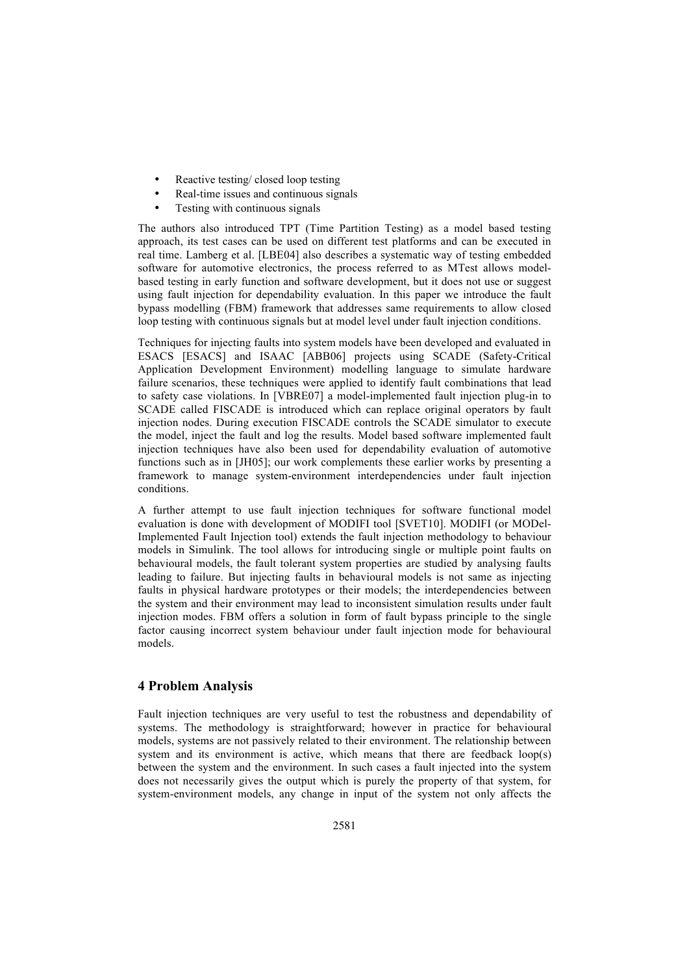- Reactive testing/ closed loop testing
- Real-time issues and continuous signals
- Testing with continuous signals

The authors also introduced TPT (Time Partition Testing) as a model based testing approach, its test cases can be used on different test platforms and can be executed in real time. Lamberg et al. [LBE04] also describes a systematic way of testing embedded software for automotive electronics, the process referred to as MTest allows modelbased testing in early function and software development, but it does not use or suggest using fault injection for dependability evaluation. In this paper we introduce the fault bypass modelling (FBM) framework that addresses same requirements to allow closed loop testing with continuous signals but at model level under fault injection conditions.

Techniques for injecting faults into system models have been developed and evaluated in ESACS [ESACS] and ISAAC [ABB06] projects using SCADE (Safety-Critical Application Development Environment) modelling language to simulate hardware failure scenarios, these techniques were applied to identify fault combinations that lead to safety case violations. In [VBRE07] a model-implemented fault injection plug-in to SCADE called FISCADE is introduced which can replace original operators by fault injection nodes. During execution FISCADE controls the SCADE simulator to execute the model, inject the fault and log the results. Model based software implemented fault injection techniques have also been used for dependability evaluation of automotive functions such as in [JH05]; our work complements these earlier works by presenting a framework to manage system-environment interdependencies under fault injection conditions.

A further attempt to use fault injection techniques for software functional model evaluation is done with development of MODIFI tool [SVET10]. MODIFI (or MODel-Implemented Fault Injection tool) extends the fault injection methodology to behaviour models in Simulink. The tool allows for introducing single or multiple point faults on behavioural models, the fault tolerant system properties are studied by analysing faults leading to failure. But injecting faults in behavioural models is not same as injecting faults in physical hardware prototypes or their models; the interdependencies between the system and their environment may lead to inconsistent simulation results under fault injection modes. FBM offers a solution in form of fault bypass principle to the single factor causing incorrect system behaviour under fault injection mode for behavioural models.

# **4 Problem Analysis**

Fault injection techniques are very useful to test the robustness and dependability of systems. The methodology is straightforward; however in practice for behavioural models, systems are not passively related to their environment. The relationship between system and its environment is active, which means that there are feedback loop(s) between the system and the environment. In such cases a fault injected into the system does not necessarily gives the output which is purely the property of that system, for system-environment models, any change in input of the system not only affects the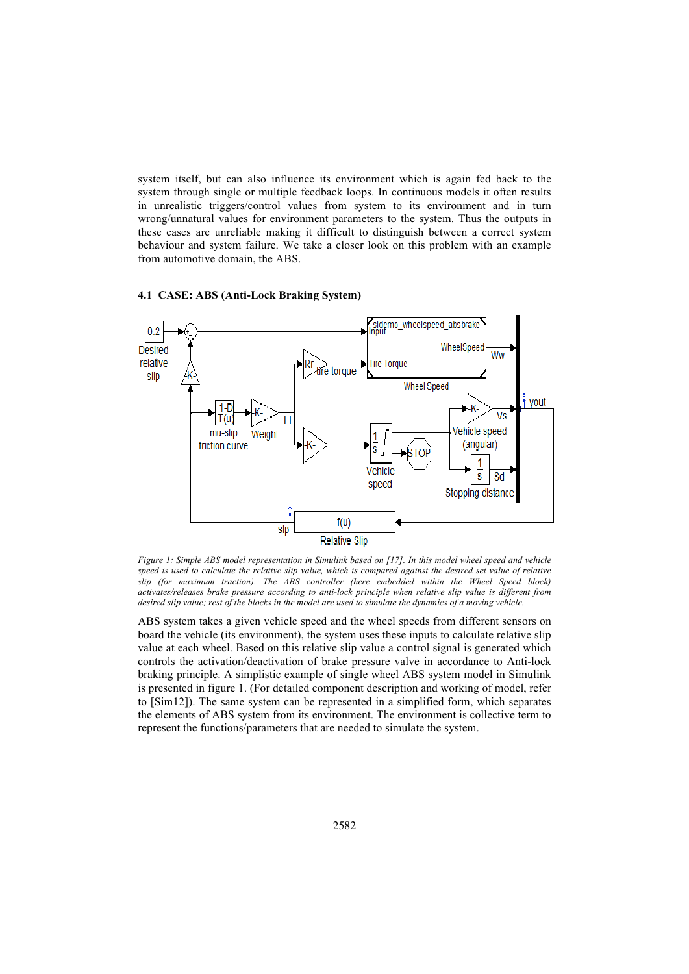system itself, but can also influence its environment which is again fed back to the system through single or multiple feedback loops. In continuous models it often results in unrealistic triggers/control values from system to its environment and in turn wrong/unnatural values for environment parameters to the system. Thus the outputs in these cases are unreliable making it difficult to distinguish between a correct system behaviour and system failure. We take a closer look on this problem with an example from automotive domain, the ABS.



### **4.1 CASE: ABS (Anti-Lock Braking System)**

*Figure 1: Simple ABS model representation in Simulink based on [17]. In this model wheel speed and vehicle*  speed is used to calculate the relative slip value, which is compared against the desired set value of relative *slip (for maximum traction). The ABS controller (here embedded within the Wheel Speed block) activates/releases brake pressure according to anti-lock principle when relative slip value is different from desired slip value; rest of the blocks in the model are used to simulate the dynamics of a moving vehicle.*

ABS system takes a given vehicle speed and the wheel speeds from different sensors on board the vehicle (its environment), the system uses these inputs to calculate relative slip value at each wheel. Based on this relative slip value a control signal is generated which controls the activation/deactivation of brake pressure valve in accordance to Anti-lock braking principle. A simplistic example of single wheel ABS system model in Simulink is presented in figure 1. (For detailed component description and working of model, refer to [Sim12]). The same system can be represented in a simplified form, which separates the elements of ABS system from its environment. The environment is collective term to represent the functions/parameters that are needed to simulate the system.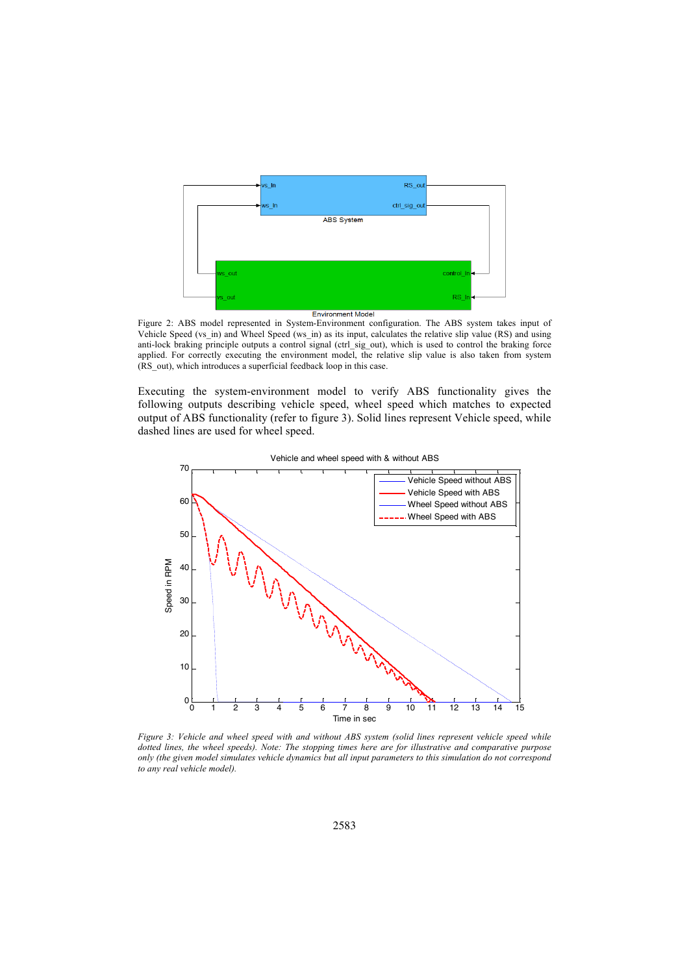

Figure 2: ABS model represented in System-Environment configuration. The ABS system takes input of Vehicle Speed (vs\_in) and Wheel Speed (ws\_in) as its input, calculates the relative slip value (RS) and using anti-lock braking principle outputs a control signal (ctrl\_sig\_out), which is used to control the braking force applied. For correctly executing the environment model, the relative slip value is also taken from system (RS\_out), which introduces a superficial feedback loop in this case.

Executing the system-environment model to verify ABS functionality gives the following outputs describing vehicle speed, wheel speed which matches to expected output of ABS functionality (refer to figure 3). Solid lines represent Vehicle speed, while dashed lines are used for wheel speed.



Vehicle and wheel speed with & without ABS

*Figure 3: Vehicle and wheel speed with and without ABS system (solid lines represent vehicle speed while dotted lines, the wheel speeds). Note: The stopping times here are for illustrative and comparative purpose only (the given model simulates vehicle dynamics but all input parameters to this simulation do not correspond to any real vehicle model).*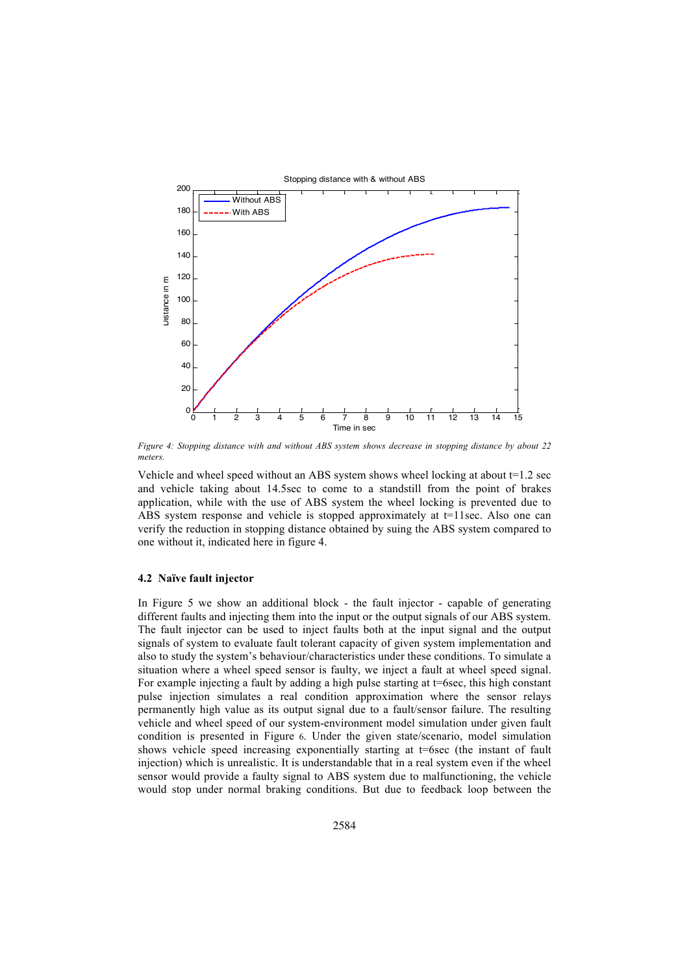

*Figure 4: Stopping distance with and without ABS system shows decrease in stopping distance by about 22 meters.*

Vehicle and wheel speed without an ABS system shows wheel locking at about  $t=1.2$  sec and vehicle taking about 14.5sec to come to a standstill from the point of brakes application, while with the use of ABS system the wheel locking is prevented due to ABS system response and vehicle is stopped approximately at  $t=1$  sec. Also one can verify the reduction in stopping distance obtained by suing the ABS system compared to one without it, indicated here in figure 4.

#### **4.2 Naïve fault injector**

In Figure 5 we show an additional block - the fault injector - capable of generating different faults and injecting them into the input or the output signals of our ABS system. The fault injector can be used to inject faults both at the input signal and the output signals of system to evaluate fault tolerant capacity of given system implementation and also to study the system's behaviour/characteristics under these conditions. To simulate a situation where a wheel speed sensor is faulty, we inject a fault at wheel speed signal. For example injecting a fault by adding a high pulse starting at  $t=6$  sec, this high constant pulse injection simulates a real condition approximation where the sensor relays permanently high value as its output signal due to a fault/sensor failure. The resulting vehicle and wheel speed of our system-environment model simulation under given fault condition is presented in Figure 6. Under the given state/scenario, model simulation shows vehicle speed increasing exponentially starting at t=6sec (the instant of fault injection) which is unrealistic. It is understandable that in a real system even if the wheel sensor would provide a faulty signal to ABS system due to malfunctioning, the vehicle would stop under normal braking conditions. But due to feedback loop between the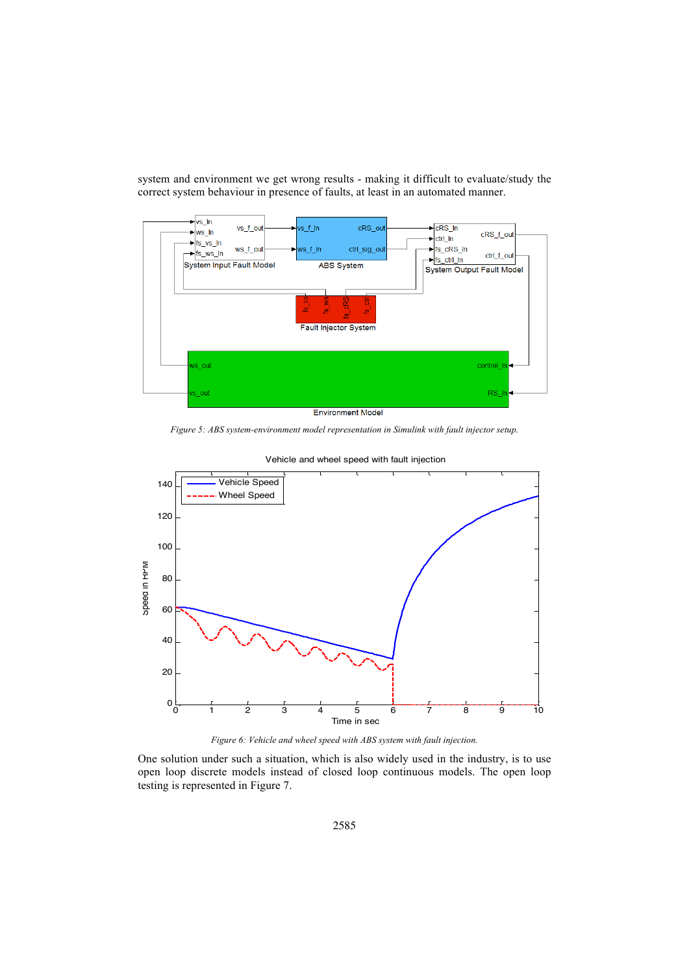system and environment we get wrong results - making it difficult to evaluate/study the correct system behaviour in presence of faults, at least in an automated manner.



**Environment Model** 

*Figure 5: ABS system-environment model representation in Simulink with fault injector setup.*



Vehicle and wheel speed with fault injection

*Figure 6: Vehicle and wheel speed with ABS system with fault injection.*

One solution under such a situation, which is also widely used in the industry, is to use open loop discrete models instead of closed loop continuous models. The open loop testing is represented in Figure 7.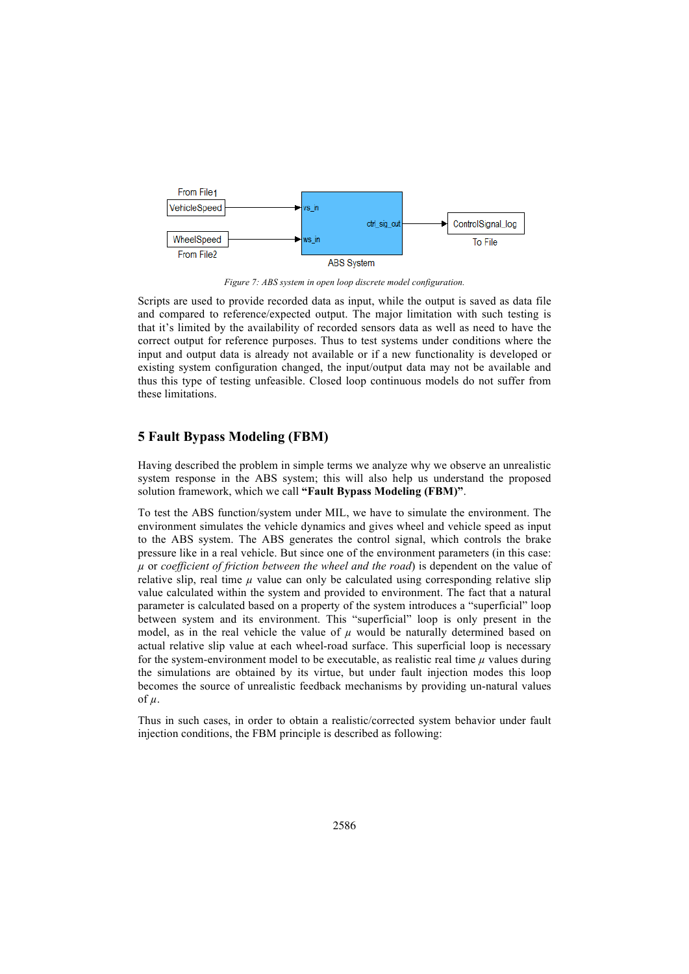

*Figure 7: ABS system in open loop discrete model configuration.*

Scripts are used to provide recorded data as input, while the output is saved as data file and compared to reference/expected output. The major limitation with such testing is that it's limited by the availability of recorded sensors data as well as need to have the correct output for reference purposes. Thus to test systems under conditions where the input and output data is already not available or if a new functionality is developed or existing system configuration changed, the input/output data may not be available and thus this type of testing unfeasible. Closed loop continuous models do not suffer from these limitations.

# **5 Fault Bypass Modeling (FBM)**

Having described the problem in simple terms we analyze why we observe an unrealistic system response in the ABS system; this will also help us understand the proposed solution framework, which we call **"Fault Bypass Modeling (FBM)"**.

To test the ABS function/system under MIL, we have to simulate the environment. The environment simulates the vehicle dynamics and gives wheel and vehicle speed as input to the ABS system. The ABS generates the control signal, which controls the brake pressure like in a real vehicle. But since one of the environment parameters (in this case: *!* or *coefficient of friction between the wheel and the road*) is dependent on the value of relative slip, real time  $\mu$  value can only be calculated using corresponding relative slip value calculated within the system and provided to environment. The fact that a natural parameter is calculated based on a property of the system introduces a "superficial" loop between system and its environment. This "superficial" loop is only present in the model, as in the real vehicle the value of  $\mu$  would be naturally determined based on actual relative slip value at each wheel-road surface. This superficial loop is necessary for the system-environment model to be executable, as realistic real time  $\mu$  values during the simulations are obtained by its virtue, but under fault injection modes this loop becomes the source of unrealistic feedback mechanisms by providing un-natural values of  $\mu$ .

Thus in such cases, in order to obtain a realistic/corrected system behavior under fault injection conditions, the FBM principle is described as following: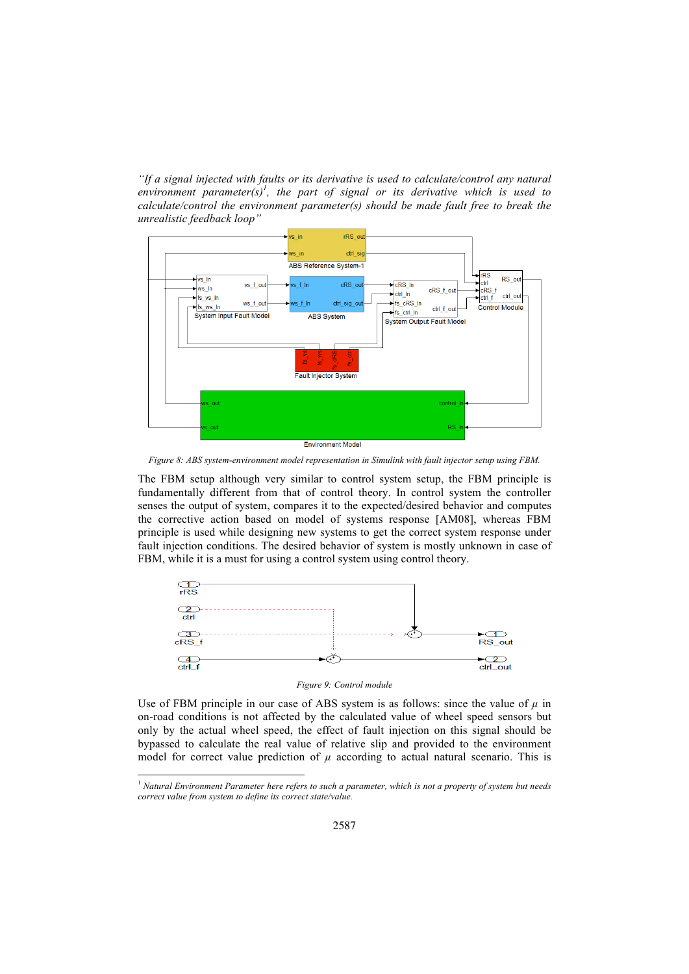*"If a signal injected with faults or its derivative is used to calculate/control any natural*  environment parameter(s)<sup>1</sup>, the part of signal or its derivative which is used to *calculate/control the environment parameter(s) should be made fault free to break the unrealistic feedback loop"*



**Environment Model** 

*Figure 8: ABS system-environment model representation in Simulink with fault injector setup using FBM.*

The FBM setup although very similar to control system setup, the FBM principle is fundamentally different from that of control theory. In control system the controller senses the output of system, compares it to the expected/desired behavior and computes the corrective action based on model of systems response [AM08], whereas FBM principle is used while designing new systems to get the correct system response under fault injection conditions. The desired behavior of system is mostly unknown in case of FBM, while it is a must for using a control system using control theory.



#### *Figure 9: Control module*

Use of FBM principle in our case of ABS system is as follows: since the value of  $\mu$  in on-road conditions is not affected by the calculated value of wheel speed sensors but only by the actual wheel speed, the effect of fault injection on this signal should be bypassed to calculate the real value of relative slip and provided to the environment model for correct value prediction of  $\mu$  according to actual natural scenario. This is

-

<sup>1</sup> *Natural Environment Parameter here refers to such a parameter, which is not a property of system but needs correct value from system to define its correct state/value.*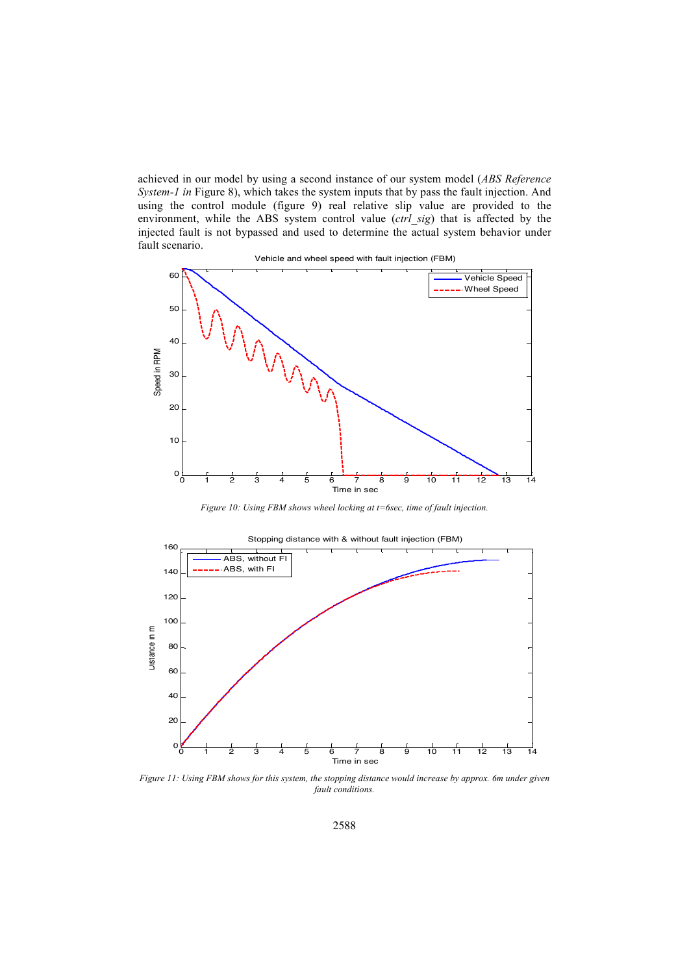achieved in our model by using a second instance of our system model (*ABS Reference System-1 in* Figure 8), which takes the system inputs that by pass the fault injection. And using the control module (figure 9) real relative slip value are provided to the environment, while the ABS system control value (*ctrl\_sig*) that is affected by the injected fault is not bypassed and used to determine the actual system behavior under fault scenario.



*Figure 10: Using FBM shows wheel locking at t=6sec, time of fault injection.*



*Figure 11: Using FBM shows for this system, the stopping distance would increase by approx. 6m under given fault conditions.*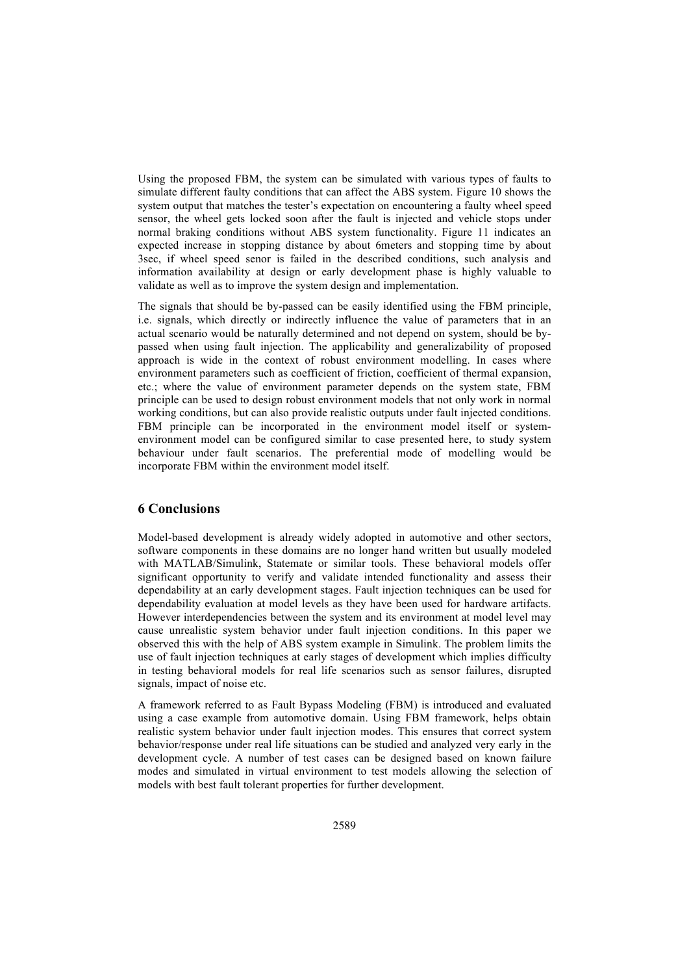Using the proposed FBM, the system can be simulated with various types of faults to simulate different faulty conditions that can affect the ABS system. Figure 10 shows the system output that matches the tester's expectation on encountering a faulty wheel speed sensor, the wheel gets locked soon after the fault is injected and vehicle stops under normal braking conditions without ABS system functionality. Figure 11 indicates an expected increase in stopping distance by about 6meters and stopping time by about 3sec, if wheel speed senor is failed in the described conditions, such analysis and information availability at design or early development phase is highly valuable to validate as well as to improve the system design and implementation.

The signals that should be by-passed can be easily identified using the FBM principle, i.e. signals, which directly or indirectly influence the value of parameters that in an actual scenario would be naturally determined and not depend on system, should be bypassed when using fault injection. The applicability and generalizability of proposed approach is wide in the context of robust environment modelling. In cases where environment parameters such as coefficient of friction, coefficient of thermal expansion, etc.; where the value of environment parameter depends on the system state, FBM principle can be used to design robust environment models that not only work in normal working conditions, but can also provide realistic outputs under fault injected conditions. FBM principle can be incorporated in the environment model itself or systemenvironment model can be configured similar to case presented here, to study system behaviour under fault scenarios. The preferential mode of modelling would be incorporate FBM within the environment model itself.

# **6 Conclusions**

Model-based development is already widely adopted in automotive and other sectors, software components in these domains are no longer hand written but usually modeled with MATLAB/Simulink, Statemate or similar tools. These behavioral models offer significant opportunity to verify and validate intended functionality and assess their dependability at an early development stages. Fault injection techniques can be used for dependability evaluation at model levels as they have been used for hardware artifacts. However interdependencies between the system and its environment at model level may cause unrealistic system behavior under fault injection conditions. In this paper we observed this with the help of ABS system example in Simulink. The problem limits the use of fault injection techniques at early stages of development which implies difficulty in testing behavioral models for real life scenarios such as sensor failures, disrupted signals, impact of noise etc.

A framework referred to as Fault Bypass Modeling (FBM) is introduced and evaluated using a case example from automotive domain. Using FBM framework, helps obtain realistic system behavior under fault injection modes. This ensures that correct system behavior/response under real life situations can be studied and analyzed very early in the development cycle. A number of test cases can be designed based on known failure modes and simulated in virtual environment to test models allowing the selection of models with best fault tolerant properties for further development.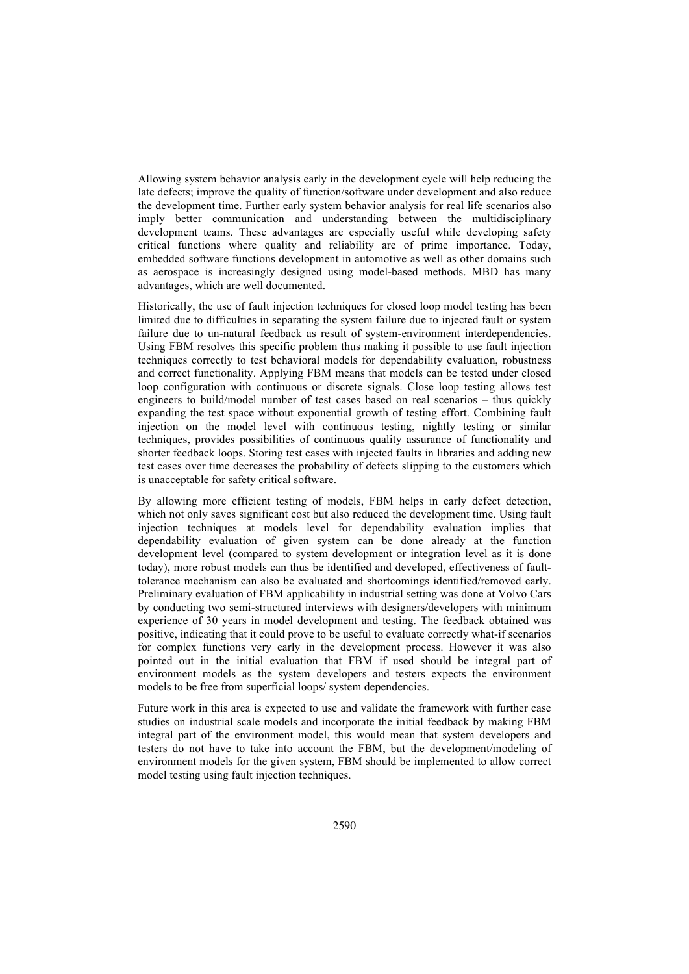Allowing system behavior analysis early in the development cycle will help reducing the late defects; improve the quality of function/software under development and also reduce the development time. Further early system behavior analysis for real life scenarios also imply better communication and understanding between the multidisciplinary development teams. These advantages are especially useful while developing safety critical functions where quality and reliability are of prime importance. Today, embedded software functions development in automotive as well as other domains such as aerospace is increasingly designed using model-based methods. MBD has many advantages, which are well documented.

Historically, the use of fault injection techniques for closed loop model testing has been limited due to difficulties in separating the system failure due to injected fault or system failure due to un-natural feedback as result of system-environment interdependencies. Using FBM resolves this specific problem thus making it possible to use fault injection techniques correctly to test behavioral models for dependability evaluation, robustness and correct functionality. Applying FBM means that models can be tested under closed loop configuration with continuous or discrete signals. Close loop testing allows test engineers to build/model number of test cases based on real scenarios – thus quickly expanding the test space without exponential growth of testing effort. Combining fault injection on the model level with continuous testing, nightly testing or similar techniques, provides possibilities of continuous quality assurance of functionality and shorter feedback loops. Storing test cases with injected faults in libraries and adding new test cases over time decreases the probability of defects slipping to the customers which is unacceptable for safety critical software.

By allowing more efficient testing of models, FBM helps in early defect detection, which not only saves significant cost but also reduced the development time. Using fault injection techniques at models level for dependability evaluation implies that dependability evaluation of given system can be done already at the function development level (compared to system development or integration level as it is done today), more robust models can thus be identified and developed, effectiveness of faulttolerance mechanism can also be evaluated and shortcomings identified/removed early. Preliminary evaluation of FBM applicability in industrial setting was done at Volvo Cars by conducting two semi-structured interviews with designers/developers with minimum experience of 30 years in model development and testing. The feedback obtained was positive, indicating that it could prove to be useful to evaluate correctly what-if scenarios for complex functions very early in the development process. However it was also pointed out in the initial evaluation that FBM if used should be integral part of environment models as the system developers and testers expects the environment models to be free from superficial loops/ system dependencies.

Future work in this area is expected to use and validate the framework with further case studies on industrial scale models and incorporate the initial feedback by making FBM integral part of the environment model, this would mean that system developers and testers do not have to take into account the FBM, but the development/modeling of environment models for the given system, FBM should be implemented to allow correct model testing using fault injection techniques.